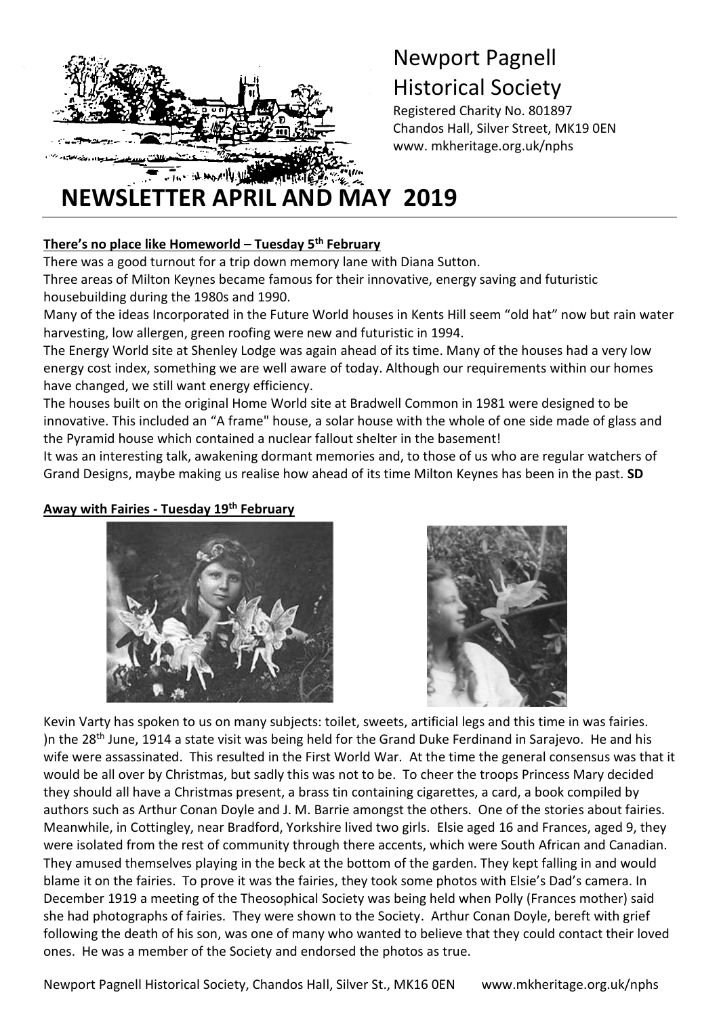

# Newport Pagnell

Historical Society

Registered Charity No. 801897 Chandos Hall, Silver Street, MK19 0EN www. mkheritage.org.uk/nphs

# **NEWSLETTER APRIL AND MAY 2019**

### **There's no place like Homeworld – Tuesday 5th February**

t

There was a good turnout for a trip down memory lane with Diana Sutton.

Three areas of Milton Keynes became famous for their innovative, energy saving and futuristic housebuilding during the 1980s and 1990.

Many of the ideas Incorporated in the Future World houses in Kents Hill seem "old hat" now but rain water harvesting, low allergen, green roofing were new and futuristic in 1994.

The Energy World site at Shenley Lodge was again ahead of its time. Many of the houses had a very low energy cost index, something we are well aware of today. Although our requirements within our homes have changed, we still want energy efficiency.

The houses built on the original Home World site at Bradwell Common in 1981 were designed to be innovative. This included an "A frame" house, a solar house with the whole of one side made of glass and the Pyramid house which contained a nuclear fallout shelter in the basement!

It was an interesting talk, awakening dormant memories and, to those of us who are regular watchers of Grand Designs, maybe making us realise how ahead of its time Milton Keynes has been in the past. **SD**

### **Away with Fairies - Tuesday 19th February**





Kevin Varty has spoken to us on many subjects: toilet, sweets, artificial legs and this time in was fairies. )n the 28<sup>th</sup> June, 1914 a state visit was being held for the Grand Duke Ferdinand in Sarajevo. He and his wife were assassinated. This resulted in the First World War. At the time the general consensus was that it would be all over by Christmas, but sadly this was not to be. To cheer the troops Princess Mary decided they should all have a Christmas present, a brass tin containing cigarettes, a card, a book compiled by authors such as Arthur Conan Doyle and J. M. Barrie amongst the others. One of the stories about fairies. Meanwhile, in Cottingley, near Bradford, Yorkshire lived two girls. Elsie aged 16 and Frances, aged 9, they were isolated from the rest of community through there accents, which were South African and Canadian. They amused themselves playing in the beck at the bottom of the garden. They kept falling in and would blame it on the fairies. To prove it was the fairies, they took some photos with Elsie's Dad's camera. In December 1919 a meeting of the Theosophical Society was being held when Polly (Frances mother) said she had photographs of fairies. They were shown to the Society. Arthur Conan Doyle, bereft with grief following the death of his son, was one of many who wanted to believe that they could contact their loved ones. He was a member of the Society and endorsed the photos as true.

Newport Pagnell Historical Society, Chandos Hall, Silver St., MK16 0EN www.mkheritage.org.uk/nphs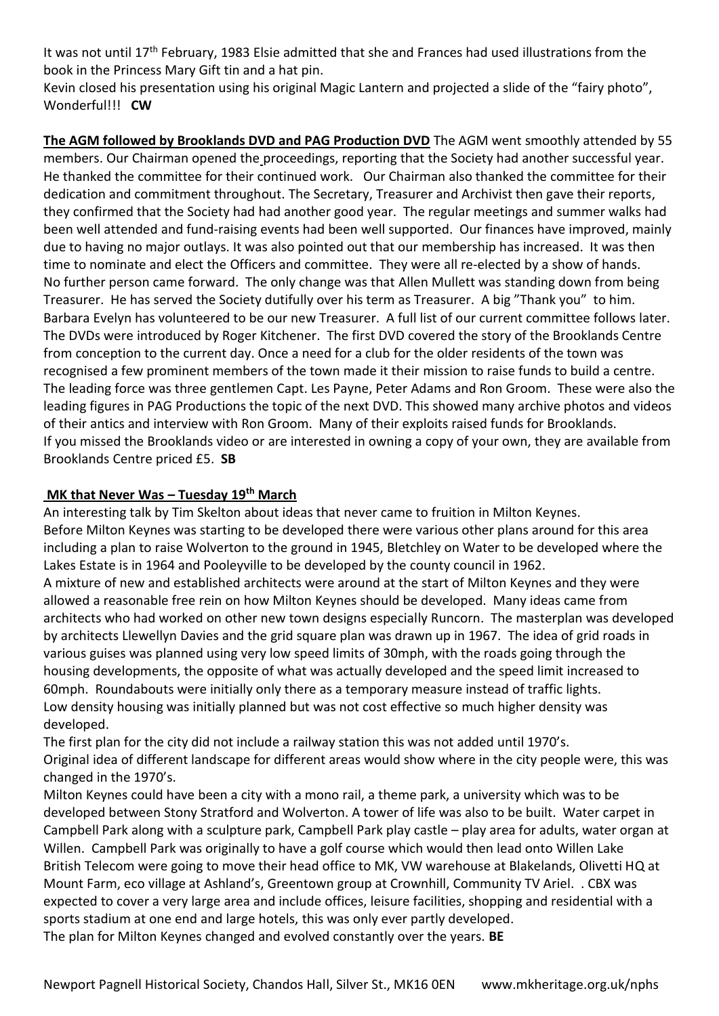It was not until 17<sup>th</sup> February, 1983 Elsie admitted that she and Frances had used illustrations from the book in the Princess Mary Gift tin and a hat pin.

Kevin closed his presentation using his original Magic Lantern and projected a slide of the "fairy photo", Wonderful!!! **CW**

**The AGM followed by Brooklands DVD and PAG Production DVD** The AGM went smoothly attended by 55 members. Our Chairman opened the proceedings, reporting that the Society had another successful year. He thanked the committee for their continued work. Our Chairman also thanked the committee for their dedication and commitment throughout. The Secretary, Treasurer and Archivist then gave their reports, they confirmed that the Society had had another good year. The regular meetings and summer walks had been well attended and fund-raising events had been well supported. Our finances have improved, mainly due to having no major outlays. It was also pointed out that our membership has increased. It was then time to nominate and elect the Officers and committee. They were all re-elected by a show of hands. No further person came forward. The only change was that Allen Mullett was standing down from being Treasurer. He has served the Society dutifully over his term as Treasurer. A big "Thank you" to him. Barbara Evelyn has volunteered to be our new Treasurer. A full list of our current committee follows later. The DVDs were introduced by Roger Kitchener. The first DVD covered the story of the Brooklands Centre from conception to the current day. Once a need for a club for the older residents of the town was recognised a few prominent members of the town made it their mission to raise funds to build a centre. The leading force was three gentlemen Capt. Les Payne, Peter Adams and Ron Groom. These were also the leading figures in PAG Productions the topic of the next DVD. This showed many archive photos and videos of their antics and interview with Ron Groom. Many of their exploits raised funds for Brooklands. If you missed the Brooklands video or are interested in owning a copy of your own, they are available from Brooklands Centre priced £5. **SB**

#### **MK that Never Was – Tuesday 19th March**

An interesting talk by Tim Skelton about ideas that never came to fruition in Milton Keynes. Before Milton Keynes was starting to be developed there were various other plans around for this area including a plan to raise Wolverton to the ground in 1945, Bletchley on Water to be developed where the Lakes Estate is in 1964 and Pooleyville to be developed by the county council in 1962.

A mixture of new and established architects were around at the start of Milton Keynes and they were allowed a reasonable free rein on how Milton Keynes should be developed. Many ideas came from architects who had worked on other new town designs especially Runcorn. The masterplan was developed by architects Llewellyn Davies and the grid square plan was drawn up in 1967. The idea of grid roads in various guises was planned using very low speed limits of 30mph, with the roads going through the housing developments, the opposite of what was actually developed and the speed limit increased to 60mph. Roundabouts were initially only there as a temporary measure instead of traffic lights. Low density housing was initially planned but was not cost effective so much higher density was developed.

The first plan for the city did not include a railway station this was not added until 1970's. Original idea of different landscape for different areas would show where in the city people were, this was changed in the 1970's.

Milton Keynes could have been a city with a mono rail, a theme park, a university which was to be developed between Stony Stratford and Wolverton. A tower of life was also to be built. Water carpet in Campbell Park along with a sculpture park, Campbell Park play castle – play area for adults, water organ at Willen. Campbell Park was originally to have a golf course which would then lead onto Willen Lake British Telecom were going to move their head office to MK, VW warehouse at Blakelands, Olivetti HQ at Mount Farm, eco village at Ashland's, Greentown group at Crownhill, Community TV Ariel. . CBX was expected to cover a very large area and include offices, leisure facilities, shopping and residential with a sports stadium at one end and large hotels, this was only ever partly developed. The plan for Milton Keynes changed and evolved constantly over the years. **BE**